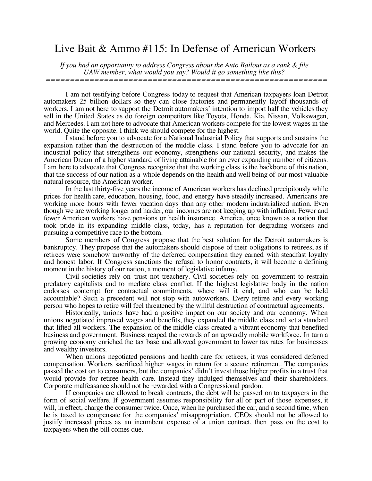## Live Bait & Ammo #115: In Defense of American Workers

 *If you had an opportunity to address Congress about the Auto Bailout as a rank & file UAW member, what would you say? Would it go something like this?*

 *==========================================================*

I am not testifying before Congress today to request that American taxpayers loan Detroit automakers 25 billion dollars so they can close factories and permanently layoff thousands of workers. I am not here to support the Detroit automakers' intention to import half the vehicles they sell in the United States as do foreign competitors like Toyota, Honda, Kia, Nissan, Volkswagen, and Mercedes. I am not here to advocate that American workers compete for the lowest wages in the world. Quite the opposite. I think we should compete for the highest.

I stand before you to advocate for a National Industrial Policy that supports and sustains the expansion rather than the destruction of the middle class. I stand before you to advocate for an industrial policy that strengthens our economy, strengthens our national security, and makes the American Dream of a higher standard of living attainable for an ever expanding number of citizens. I am here to advocate that Congress recognize that the working class is the backbone of this nation, that the success of our nation as a whole depends on the health and well being of our most valuable natural resource, the American worker.

In the last thirty-five years the income of American workers has declined precipitously while prices for health care, education, housing, food, and energy have steadily increased. Americans are working more hours with fewer vacation days than any other modern industrialized nation. Even though we are working longer and harder, our incomes are not keeping up with inflation. Fewer and fewer American workers have pensions or health insurance. America, once known as a nation that took pride in its expanding middle class, today, has a reputation for degrading workers and pursuing a competitive race to the bottom.

Some members of Congress propose that the best solution for the Detroit automakers is bankruptcy. They propose that the automakers should dispose of their obligations to retirees, as if retirees were somehow unworthy of the deferred compensation they earned with steadfast loyalty and honest labor. If Congress sanctions the refusal to honor contracts, it will become a defining moment in the history of our nation, a moment of legislative infamy.

Civil societies rely on trust not treachery. Civil societies rely on government to restrain predatory capitalists and to mediate class conflict. If the highest legislative body in the nation endorses contempt for contractual commitments, where will it end, and who can be held accountable? Such a precedent will not stop with autoworkers. Every retiree and every working person who hopes to retire will feel threatened by the willful destruction of contractual agreements.

Historically, unions have had a positive impact on our society and our economy. When unions negotiated improved wages and benefits, they expanded the middle class and set a standard that lifted all workers. The expansion of the middle class created a vibrant economy that benefited business and government. Business reaped the rewards of an upwardly mobile workforce. In turn a growing economy enriched the tax base and allowed government to lower tax rates for businesses and wealthy investors.

When unions negotiated pensions and health care for retirees, it was considered deferred compensation. Workers sacrificed higher wages in return for a secure retirement. The companies passed the cost on to consumers, but the companies' didn't invest those higher profits in a trust that would provide for retiree health care. Instead they indulged themselves and their shareholders. Corporate malfeasance should not be rewarded with a Congressional pardon.

If companies are allowed to break contracts, the debt will be passed on to taxpayers in the form of social welfare. If government assumes responsibility for all or part of those expenses, it will, in effect, charge the consumer twice. Once, when he purchased the car, and a second time, when he is taxed to compensate for the companies' misappropriation. CEOs should not be allowed to justify increased prices as an incumbent expense of a union contract, then pass on the cost to taxpayers when the bill comes due.